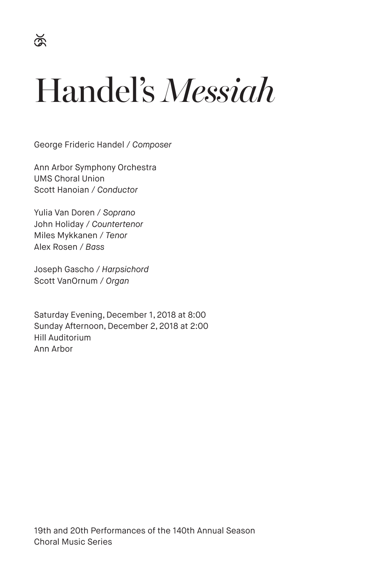# Handel's *Messiah*

George Frideric Handel / *Composer*

Ann Arbor Symphony Orchestra UMS Choral Union Scott Hanoian / *Conductor*

Yulia Van Doren / *Soprano* John Holiday / *Countertenor* Miles Mykkanen / *Tenor* Alex Rosen / *Bass*

Joseph Gascho / *Harpsichord* Scott VanOrnum / *Organ*

Saturday Evening, December 1, 2018 at 8:00 Sunday Afternoon, December 2, 2018 at 2:00 Hill Auditorium Ann Arbor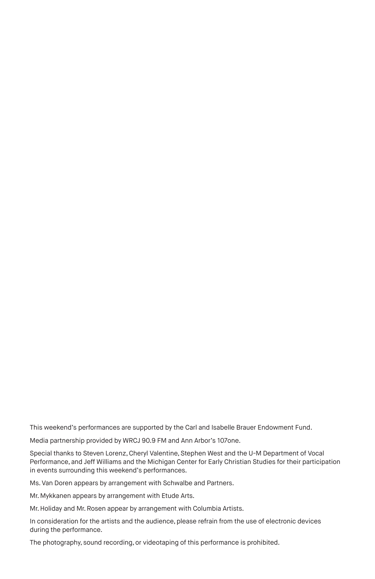This weekend's performances are supported by the Carl and Isabelle Brauer Endowment Fund.

Media partnership provided by WRCJ 90.9 FM and Ann Arbor's 107one.

Special thanks to Steven Lorenz, Cheryl Valentine, Stephen West and the U-M Department of Vocal Performance, and Jeff Williams and the Michigan Center for Early Christian Studies for their participation in events surrounding this weekend's performances.

Ms. Van Doren appears by arrangement with Schwalbe and Partners.

Mr. Mykkanen appears by arrangement with Etude Arts.

Mr. Holiday and Mr. Rosen appear by arrangement with Columbia Artists.

In consideration for the artists and the audience, please refrain from the use of electronic devices during the performance.

The photography, sound recording, or videotaping of this performance is prohibited.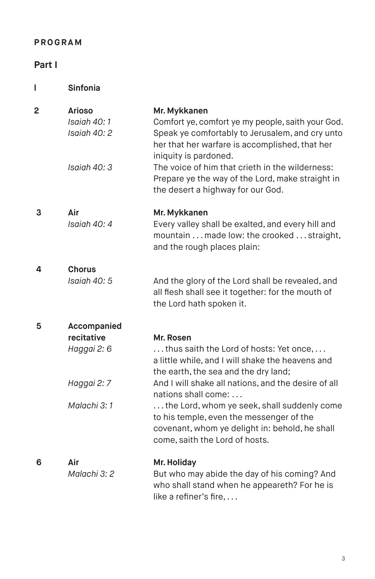# **PROGRAM**

# **Part I**

**l Sinfonia**

| 2 | <b>Arioso</b><br>Isaiah 40:1<br>Isaiah 40: 2                           | Mr. Mykkanen<br>Comfort ye, comfort ye my people, saith your God.<br>Speak ye comfortably to Jerusalem, and cry unto<br>her that her warfare is accomplished, that her<br>iniquity is pardoned.                                                                                                                                                                                                               |
|---|------------------------------------------------------------------------|---------------------------------------------------------------------------------------------------------------------------------------------------------------------------------------------------------------------------------------------------------------------------------------------------------------------------------------------------------------------------------------------------------------|
|   | Isaiah 40: 3                                                           | The voice of him that crieth in the wilderness:<br>Prepare ye the way of the Lord, make straight in<br>the desert a highway for our God.                                                                                                                                                                                                                                                                      |
| 3 | Air<br>Isaiah 40: 4                                                    | Mr. Mykkanen<br>Every valley shall be exalted, and every hill and<br>mountain made low: the crooked straight,<br>and the rough places plain:                                                                                                                                                                                                                                                                  |
| 4 | Chorus<br>Isaiah 40: 5                                                 | And the glory of the Lord shall be revealed, and<br>all flesh shall see it together: for the mouth of<br>the Lord hath spoken it.                                                                                                                                                                                                                                                                             |
| 5 | Accompanied<br>recitative<br>Haggai 2: 6<br>Haggai 2: 7<br>Malachi 3:1 | Mr. Rosen<br>thus saith the Lord of hosts: Yet once,<br>a little while, and I will shake the heavens and<br>the earth, the sea and the dry land;<br>And I will shake all nations, and the desire of all<br>nations shall come:<br>the Lord, whom ye seek, shall suddenly come<br>to his temple, even the messenger of the<br>covenant, whom ye delight in: behold, he shall<br>come, saith the Lord of hosts. |
| 6 | Air<br>Malachi 3: 2                                                    | Mr. Holiday<br>But who may abide the day of his coming? And<br>who shall stand when he appeareth? For he is<br>like a refiner's fire,                                                                                                                                                                                                                                                                         |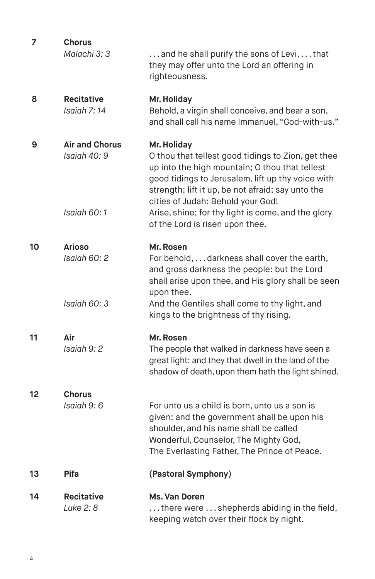| 7  | <b>Chorus</b><br>Malachi 3: 3         | and he shall purify the sons of Levi, that<br>they may offer unto the Lord an offering in<br>righteousness.                                                                                                                                                        |
|----|---------------------------------------|--------------------------------------------------------------------------------------------------------------------------------------------------------------------------------------------------------------------------------------------------------------------|
| 8  | <b>Recitative</b><br>Isaiah 7:14      | Mr. Holiday<br>Behold, a virgin shall conceive, and bear a son,<br>and shall call his name Immanuel, "God-with-us."                                                                                                                                                |
| 9  | <b>Air and Chorus</b><br>Isaiah 40: 9 | Mr. Holiday<br>O thou that tellest good tidings to Zion, get thee<br>up into the high mountain; O thou that tellest<br>good tidings to Jerusalem, lift up thy voice with<br>strength; lift it up, be not afraid; say unto the<br>cities of Judah: Behold your God! |
|    | Isaiah 60:1                           | Arise, shine; for thy light is come, and the glory<br>of the Lord is risen upon thee.                                                                                                                                                                              |
| 10 | <b>Arioso</b><br>Isaiah 60: 2         | Mr. Rosen<br>For behold,  darkness shall cover the earth,<br>and gross darkness the people: but the Lord<br>shall arise upon thee, and His glory shall be seen                                                                                                     |
|    | Isaiah 60: 3                          | upon thee.<br>And the Gentiles shall come to thy light, and<br>kings to the brightness of thy rising.                                                                                                                                                              |
| 11 | Air<br>Isaiah 9: 2                    | Mr. Rosen<br>The people that walked in darkness have seen a<br>great light: and they that dwell in the land of the<br>shadow of death, upon them hath the light shined.                                                                                            |
| 12 | <b>Chorus</b><br>Isaiah 9: 6          | For unto us a child is born, unto us a son is<br>given: and the government shall be upon his<br>shoulder, and his name shall be called<br>Wonderful, Counselor, The Mighty God,<br>The Everlasting Father, The Prince of Peace.                                    |
| 13 | <b>Pifa</b>                           | (Pastoral Symphony)                                                                                                                                                                                                                                                |
| 14 | <b>Recitative</b><br>Luke 2: 8        | Ms. Van Doren<br>there were  shepherds abiding in the field,<br>keeping watch over their flock by night.                                                                                                                                                           |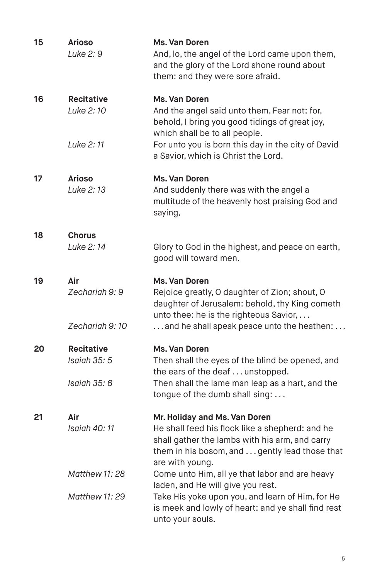| 15 | <b>Arioso</b><br>Luke 2: 9                  | <b>Ms. Van Doren</b><br>And, lo, the angel of the Lord came upon them,<br>and the glory of the Lord shone round about<br>them: and they were sore afraid.                                                |
|----|---------------------------------------------|----------------------------------------------------------------------------------------------------------------------------------------------------------------------------------------------------------|
| 16 | <b>Recitative</b><br>Luke 2:10<br>Luke 2:11 | Ms. Van Doren<br>And the angel said unto them, Fear not: for,<br>behold, I bring you good tidings of great joy,<br>which shall be to all people.<br>For unto you is born this day in the city of David   |
|    |                                             | a Savior, which is Christ the Lord.                                                                                                                                                                      |
| 17 | <b>Arioso</b><br>Luke 2:13                  | Ms. Van Doren<br>And suddenly there was with the angel a<br>multitude of the heavenly host praising God and<br>saying,                                                                                   |
| 18 | <b>Chorus</b><br>Luke 2:14                  | Glory to God in the highest, and peace on earth,<br>good will toward men.                                                                                                                                |
| 19 | Air<br>Zechariah 9: 9<br>Zechariah 9:10     | Ms. Van Doren<br>Rejoice greatly, O daughter of Zion; shout, O<br>daughter of Jerusalem: behold, thy King cometh<br>unto thee: he is the righteous Savior,<br>and he shall speak peace unto the heathen: |
|    |                                             |                                                                                                                                                                                                          |
| 20 | <b>Recitative</b><br>Isaiah 35: 5           | Ms. Van Doren<br>Then shall the eyes of the blind be opened, and<br>the ears of the deaf unstopped.                                                                                                      |
|    | Isaiah 35: 6                                | Then shall the lame man leap as a hart, and the<br>tongue of the dumb shall sing:                                                                                                                        |
| 21 | Air<br>Isaiah 40:11                         | Mr. Holiday and Ms. Van Doren<br>He shall feed his flock like a shepherd: and he<br>shall gather the lambs with his arm, and carry<br>them in his bosom, and  gently lead those that<br>are with young.  |
|    | <b>Matthew 11: 28</b>                       | Come unto Him, all ye that labor and are heavy<br>laden, and He will give you rest.                                                                                                                      |
|    | <b>Matthew 11: 29</b>                       | Take His yoke upon you, and learn of Him, for He<br>is meek and lowly of heart: and ye shall find rest<br>unto your souls.                                                                               |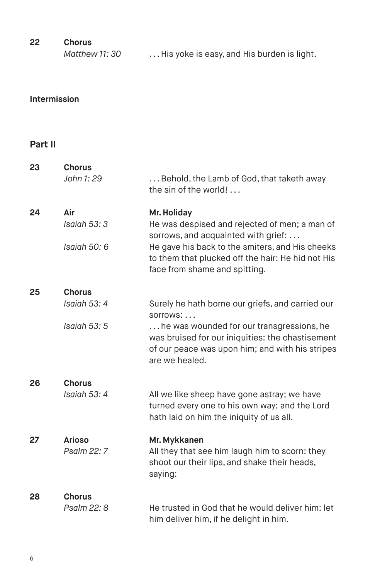| 22 | Chorus |
|----|--------|
|    |        |

| Matthew 11: 30 | His yoke is easy, and His burden is light. |
|----------------|--------------------------------------------|
|                |                                            |

# **Intermission**

# **Part II**

| 23 | <b>Chorus</b><br>John 1: 29                   | Behold, the Lamb of God, that taketh away<br>the sin of the world!                                                                                                                                                                           |
|----|-----------------------------------------------|----------------------------------------------------------------------------------------------------------------------------------------------------------------------------------------------------------------------------------------------|
| 24 | Air<br>Isaiah 53: 3<br>Isaiah 50: 6           | Mr. Holiday<br>He was despised and rejected of men; a man of<br>sorrows, and acquainted with grief:<br>He gave his back to the smiters, and His cheeks<br>to them that plucked off the hair: He hid not His<br>face from shame and spitting. |
| 25 | <b>Chorus</b><br>Isaiah 53: 4<br>Isaiah 53: 5 | Surely he hath borne our griefs, and carried our<br>sorrows:<br>he was wounded for our transgressions, he<br>was bruised for our iniquities: the chastisement<br>of our peace was upon him; and with his stripes<br>are we healed.           |
| 26 | <b>Chorus</b><br>Isaiah 53: 4                 | All we like sheep have gone astray; we have<br>turned every one to his own way; and the Lord<br>hath laid on him the iniquity of us all.                                                                                                     |
| 27 | <b>Arioso</b><br>Psalm 22: 7                  | Mr. Mykkanen<br>All they that see him laugh him to scorn: they<br>shoot our their lips, and shake their heads,<br>saying:                                                                                                                    |
| 28 | <b>Chorus</b><br>Psalm 22: 8                  | He trusted in God that he would deliver him: let<br>him deliver him, if he delight in him.                                                                                                                                                   |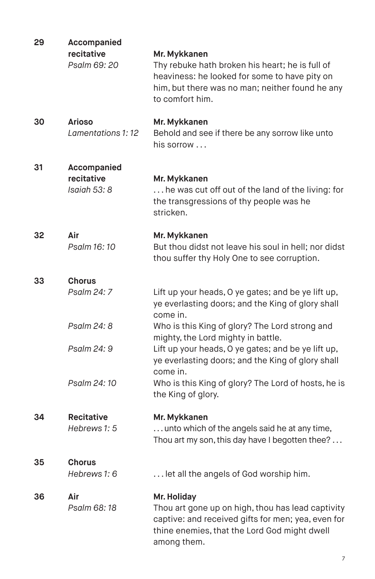| 29 | Accompanied<br>recitative<br>Psalm 69: 20   | Mr. Mykkanen<br>Thy rebuke hath broken his heart; he is full of<br>heaviness: he looked for some to have pity on<br>him, but there was no man; neither found he any<br>to comfort him.                      |
|----|---------------------------------------------|-------------------------------------------------------------------------------------------------------------------------------------------------------------------------------------------------------------|
| 30 | <b>Arioso</b><br>Lamentations 1: 12         | Mr. Mykkanen<br>Behold and see if there be any sorrow like unto<br>his sorrow                                                                                                                               |
| 31 | Accompanied<br>recitative<br>Isaiah 53: 8   | Mr. Mykkanen<br>he was cut off out of the land of the living: for<br>the transgressions of thy people was he<br>stricken.                                                                                   |
| 32 | Air<br>Psalm 16:10                          | Mr. Mykkanen<br>But thou didst not leave his soul in hell; nor didst<br>thou suffer thy Holy One to see corruption.                                                                                         |
| 33 | <b>Chorus</b><br>Psalm 24: 7<br>Psalm 24: 8 | Lift up your heads, O ye gates; and be ye lift up,<br>ye everlasting doors; and the King of glory shall<br>come in.<br>Who is this King of glory? The Lord strong and<br>mighty, the Lord mighty in battle. |
|    | Psalm 24: 9<br>Psalm 24:10                  | Lift up your heads, O ye gates; and be ye lift up,<br>ye everlasting doors; and the King of glory shall<br>come in.<br>Who is this King of glory? The Lord of hosts, he is                                  |
| 34 | <b>Recitative</b><br>Hebrews 1: 5           | the King of glory.<br>Mr. Mykkanen<br>unto which of the angels said he at any time,<br>Thou art my son, this day have I begotten thee?                                                                      |
| 35 | <b>Chorus</b><br>Hebrews 1: 6               | let all the angels of God worship him.                                                                                                                                                                      |
| 36 | Air<br>Psalm 68:18                          | Mr. Holiday<br>Thou art gone up on high, thou has lead captivity<br>captive: and received gifts for men; yea, even for<br>thine enemies, that the Lord God might dwell<br>among them.                       |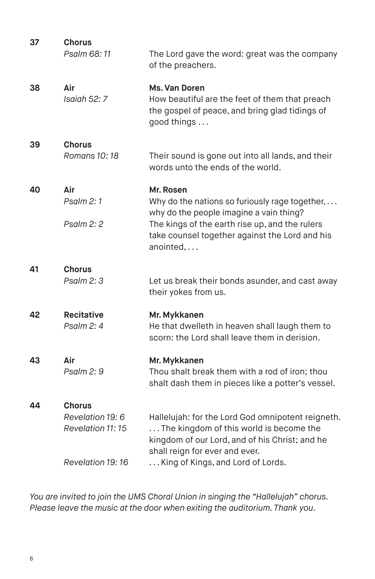| 37 | Chorus<br>Psalm 68:11                | The Lord gave the word: great was the company<br>of the preachers.                                                                                                               |
|----|--------------------------------------|----------------------------------------------------------------------------------------------------------------------------------------------------------------------------------|
| 38 | Air<br>Isaiah 52: 7                  | Ms. Van Doren<br>How beautiful are the feet of them that preach<br>the gospel of peace, and bring glad tidings of<br>good things                                                 |
| 39 | <b>Chorus</b>                        |                                                                                                                                                                                  |
|    | Romans 10: 18                        | Their sound is gone out into all lands, and their<br>words unto the ends of the world.                                                                                           |
| 40 | Air                                  | Mr. Rosen                                                                                                                                                                        |
|    | Psalm 2:1                            | Why do the nations so furiously rage together,<br>why do the people imagine a vain thing?                                                                                        |
|    | Psalm 2: 2                           | The kings of the earth rise up, and the rulers<br>take counsel together against the Lord and his<br>anointed,                                                                    |
| 41 | <b>Chorus</b>                        |                                                                                                                                                                                  |
|    | Psalm 2: 3                           | Let us break their bonds asunder, and cast away<br>their yokes from us.                                                                                                          |
| 42 | <b>Recitative</b>                    | Mr. Mykkanen                                                                                                                                                                     |
|    | Psalm 2: 4                           | He that dwelleth in heaven shall laugh them to<br>scorn: the Lord shall leave them in derision.                                                                                  |
| 43 | Air                                  | Mr. Mykkanen                                                                                                                                                                     |
|    | Psalm 2:9                            | Thou shalt break them with a rod of iron: thou<br>shalt dash them in pieces like a potter's vessel.                                                                              |
| 44 | Chorus                               |                                                                                                                                                                                  |
|    | Revelation 19: 6<br>Revelation 11:15 | Hallelujah: for the Lord God omnipotent reigneth.<br>The kingdom of this world is become the<br>kingdom of our Lord, and of his Christ; and he<br>shall reign for ever and ever. |
|    | Revelation 19:16                     | King of Kings, and Lord of Lords.                                                                                                                                                |
|    |                                      |                                                                                                                                                                                  |

*You are invited to join the UMS Choral Union in singing the "Hallelujah" chorus. Please leave the music at the door when exiting the auditorium. Thank you.*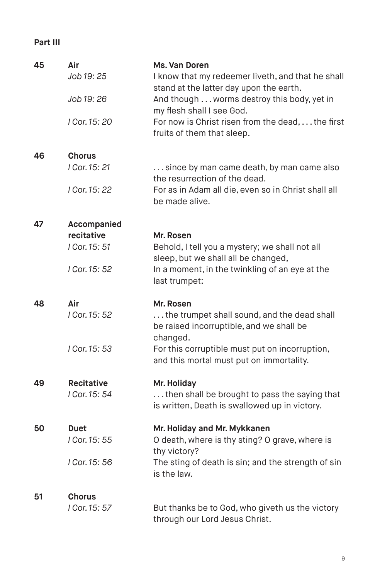# **Part III**

| 45 | Air<br>Job 19: 25<br>Job 19: 26<br>I Cor. 15: 20            | Ms. Van Doren<br>I know that my redeemer liveth, and that he shall<br>stand at the latter day upon the earth.<br>And though worms destroy this body, yet in<br>my flesh shall I see God.<br>For now is Christ risen from the dead,  the first<br>fruits of them that sleep. |
|----|-------------------------------------------------------------|-----------------------------------------------------------------------------------------------------------------------------------------------------------------------------------------------------------------------------------------------------------------------------|
| 46 | <b>Chorus</b><br>I Cor. 15: 21<br>I Cor. 15: 22             | since by man came death, by man came also<br>the resurrection of the dead.<br>For as in Adam all die, even so in Christ shall all<br>be made alive.                                                                                                                         |
| 47 | Accompanied<br>recitative<br>I Cor. 15: 51<br>I Cor. 15: 52 | Mr. Rosen<br>Behold, I tell you a mystery; we shall not all<br>sleep, but we shall all be changed,<br>In a moment, in the twinkling of an eye at the<br>last trumpet:                                                                                                       |
| 48 | Air<br>I Cor. 15: 52<br>I Cor. 15: 53                       | Mr. Rosen<br>the trumpet shall sound, and the dead shall<br>be raised incorruptible, and we shall be<br>changed.<br>For this corruptible must put on incorruption,<br>and this mortal must put on immortality.                                                              |
| 49 | <b>Recitative</b><br>I Cor. 15: 54                          | Mr. Holiday<br>then shall be brought to pass the saying that<br>is written, Death is swallowed up in victory.                                                                                                                                                               |
| 50 | <b>Duet</b><br>I Cor. 15: 55<br>I Cor. 15: 56               | Mr. Holiday and Mr. Mykkanen<br>O death, where is thy sting? O grave, where is<br>thy victory?<br>The sting of death is sin; and the strength of sin<br>is the law.                                                                                                         |
| 51 | <b>Chorus</b><br>I Cor. 15: 57                              | But thanks be to God, who giveth us the victory<br>through our Lord Jesus Christ.                                                                                                                                                                                           |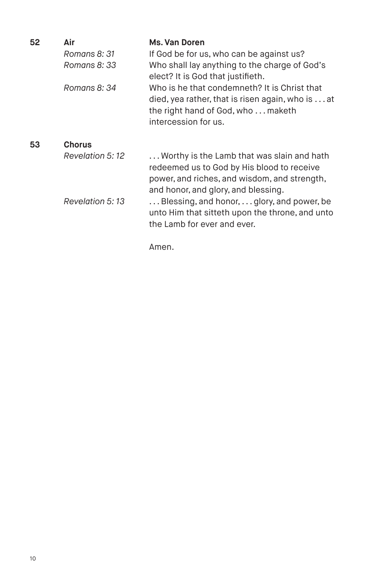| 52 | Air             | Ms. Van Doren                                                                                                                                                                   |
|----|-----------------|---------------------------------------------------------------------------------------------------------------------------------------------------------------------------------|
|    | Romans 8: 31    | If God be for us, who can be against us?                                                                                                                                        |
|    | Romans 8: 33    | Who shall lay anything to the charge of God's<br>elect? It is God that justifieth.                                                                                              |
|    | Romans 8: 34    | Who is he that condemneth? It is Christ that<br>died, yea rather, that is risen again, who is at<br>the right hand of God, who  maketh<br>intercession for us.                  |
| 53 | <b>Chorus</b>   |                                                                                                                                                                                 |
|    | Revelation 5:12 | Worthy is the Lamb that was slain and hath<br>redeemed us to God by His blood to receive<br>power, and riches, and wisdom, and strength,<br>and honor, and glory, and blessing. |
|    | Revelation 5:13 | Blessing, and honor,  glory, and power, be<br>unto Him that sitteth upon the throne, and unto<br>the Lamb for ever and ever.                                                    |

Amen.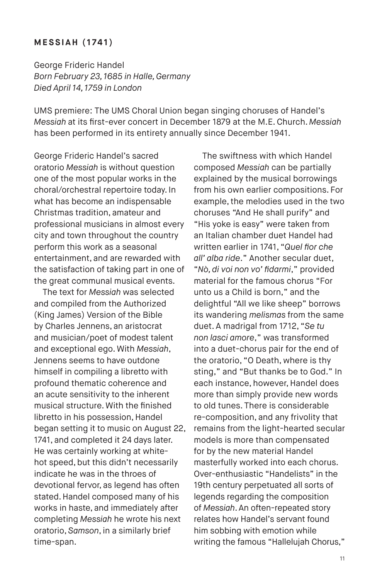### **MESSIAH (1741)**

George Frideric Handel *Born February 23, 1685 in Halle, Germany Died April 14, 1759 in London*

UMS premiere: The UMS Choral Union began singing choruses of Handel's *Messiah* at its first-ever concert in December 1879 at the M.E.Church. *Messiah* has been performed in its entirety annually since December 1941.

George Frideric Handel's sacred oratorio *Messiah* is without question one of the most popular works in the choral/orchestral repertoire today. In what has become an indispensable Christmas tradition, amateur and professional musicians in almost every city and town throughout the country perform this work as a seasonal entertainment, and are rewarded with the satisfaction of taking part in one of the great communal musical events.

The text for *Messiah* was selected and compiled from the Authorized (King James) Version of the Bible by Charles Jennens, an aristocrat and musician/poet of modest talent and exceptional ego. With *Messiah*, Jennens seems to have outdone himself in compiling a libretto with profound thematic coherence and an acute sensitivity to the inherent musical structure.With the finished libretto in his possession, Handel began setting it to music on August 22, 1741, and completed it 24 days later. He was certainly working at whitehot speed, but this didn't necessarily indicate he was in the throes of devotional fervor, as legend has often stated. Handel composed many of his works in haste, and immediately after completing *Messiah* he wrote his next oratorio, *Samson*, in a similarly brief time-span.

The swiftness with which Handel composed *Messiah* can be partially explained by the musical borrowings from his own earlier compositions. For example, the melodies used in the two choruses "And He shall purify" and "His yoke is easy" were taken from an Italian chamber duet Handel had written earlier in 1741, "*Quel fior che all' alba ride*." Another secular duet, "*Nò, di voi non vo' fidarmi*," provided material for the famous chorus "For unto us a Child is born," and the delightful "All we like sheep" borrows its wandering *melismas* from the same duet. A madrigal from 1712, "*Se tu non lasci amore*," was transformed into a duet-chorus pair for the end of the oratorio, "O Death, where is thy sting," and "But thanks be to God." In each instance, however, Handel does more than simply provide new words to old tunes. There is considerable re-composition, and any frivolity that remains from the light-hearted secular models is more than compensated for by the new material Handel masterfully worked into each chorus. Over-enthusiastic "Handelists" in the 19th century perpetuated all sorts of legends regarding the composition of *Messiah*. An often-repeated story relates how Handel's servant found him sobbing with emotion while writing the famous "Hallelujah Chorus,"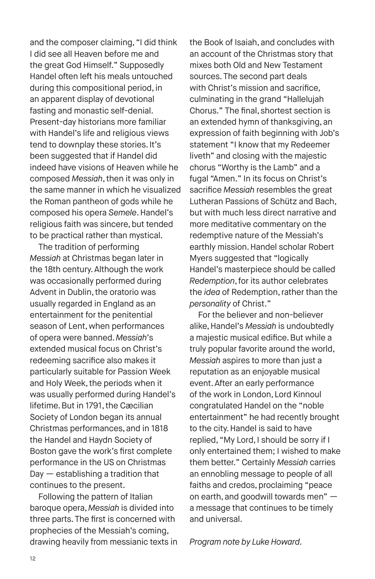and the composer claiming, "I did think I did see all Heaven before me and the great God Himself." Supposedly Handel often left his meals untouched during this compositional period, in an apparent display of devotional fasting and monastic self-denial. Present-day historians more familiar with Handel's life and religious views tend to downplay these stories. It's been suggested that if Handel did indeed have visions of Heaven while he composed *Messiah*, then it was only in the same manner in which he visualized the Roman pantheon of gods while he composed his opera *Semele*. Handel's religious faith was sincere, but tended to be practical rather than mystical.

The tradition of performing *Messiah* at Christmas began later in the 18th century. Although the work was occasionally performed during Advent in Dublin, the oratorio was usually regarded in England as an entertainment for the penitential season of Lent, when performances of opera were banned. *Messiah*'s extended musical focus on Christ's redeeming sacrifice also makes it particularly suitable for Passion Week and Holy Week, the periods when it was usually performed during Handel's lifetime. But in 1791, the Cæcilian Society of London began its annual Christmas performances, and in 1818 the Handel and Haydn Society of Boston gave the work's first complete performance in the US on Christmas Day — establishing a tradition that continues to the present.

Following the pattern of Italian baroque opera, *Messiah* is divided into three parts.The first is concerned with prophecies of the Messiah's coming, drawing heavily from messianic texts in

the Book of Isaiah, and concludes with an account of the Christmas story that mixes both Old and New Testament sources. The second part deals with Christ's mission and sacrifice, culminating in the grand "Hallelujah Chorus." The final, shortest section is an extended hymn of thanksgiving, an expression of faith beginning with Job's statement "I know that my Redeemer liveth" and closing with the majestic chorus "Worthy is the Lamb" and a fugal "Amen." In its focus on Christ's sacrifice *Messiah* resembles the great Lutheran Passions of Schütz and Bach, but with much less direct narrative and more meditative commentary on the redemptive nature of the Messiah's earthly mission. Handel scholar Robert Myers suggested that "logically Handel's masterpiece should be called *Redemption*, for its author celebrates the *idea* of Redemption, rather than the *personality* of Christ."

For the believer and non-believer alike, Handel's *Messiah* is undoubtedly a majestic musical edifice.But while a truly popular favorite around the world, *Messiah* aspires to more than just a reputation as an enjoyable musical event. After an early performance of the work in London, Lord Kinnoul congratulated Handel on the "noble entertainment" he had recently brought to the city. Handel is said to have replied, "My Lord, I should be sorry if I only entertained them; I wished to make them better." Certainly *Messiah* carries an ennobling message to people of all faiths and credos, proclaiming "peace on earth, and goodwill towards men" a message that continues to be timely and universal.

*Program note by Luke Howard.*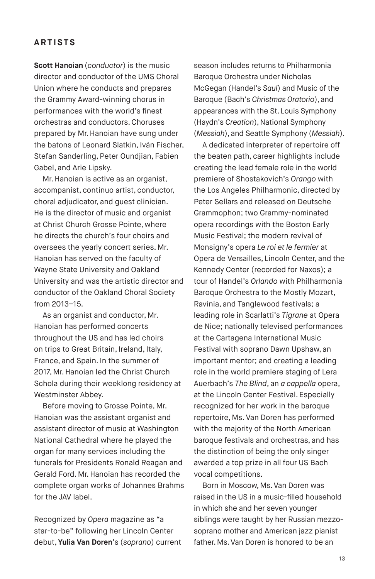# **ARTISTS**

**Scott Hanoian** (*conductor*) is the music director and conductor of the UMS Choral Union where he conducts and prepares the Grammy Award-winning chorus in performances with the world's finest orchestras and conductors. Choruses prepared by Mr. Hanoian have sung under the batons of Leonard Slatkin, Iván Fischer, Stefan Sanderling, Peter Oundjian, Fabien Gabel, and Arie Lipsky.

Mr. Hanoian is active as an organist, accompanist, continuo artist, conductor, choral adjudicator, and guest clinician. He is the director of music and organist at Christ Church Grosse Pointe, where he directs the church's four choirs and oversees the yearly concert series. Mr. Hanoian has served on the faculty of Wayne State University and Oakland University and was the artistic director and conductor of the Oakland Choral Society from 2013–15.

As an organist and conductor, Mr. Hanoian has performed concerts throughout the US and has led choirs on trips to Great Britain, Ireland, Italy, France, and Spain. In the summer of 2017, Mr. Hanoian led the Christ Church Schola during their weeklong residency at Westminster Abbey.

Before moving to Grosse Pointe, Mr. Hanoian was the assistant organist and assistant director of music at Washington National Cathedral where he played the organ for many services including the funerals for Presidents Ronald Reagan and Gerald Ford. Mr. Hanoian has recorded the complete organ works of Johannes Brahms for the JAV label.

Recognized by *Opera* magazine as "a star-to-be" following her Lincoln Center debut, **Yulia Van Doren**'s (*soprano*) current season includes returns to Philharmonia Baroque Orchestra under Nicholas McGegan (Handel's *Saul*) and Music of the Baroque (Bach's *Christmas Oratorio*), and appearances with the St. Louis Symphony (Haydn's *Creation*), National Symphony (*Messiah*), and Seattle Symphony (*Messiah*).

A dedicated interpreter of repertoire off the beaten path, career highlights include creating the lead female role in the world premiere of Shostakovich's *Orango* with the Los Angeles Philharmonic, directed by Peter Sellars and released on Deutsche Grammophon; two Grammy-nominated opera recordings with the Boston Early Music Festival; the modern revival of Monsigny's opera *Le roi et le fermier* at Opera de Versailles, Lincoln Center, and the Kennedy Center (recorded for Naxos); a tour of Handel's *Orlando* with Philharmonia Baroque Orchestra to the Mostly Mozart, Ravinia, and Tanglewood festivals; a leading role in Scarlatti's *Tigrane* at Opera de Nice; nationally televised performances at the Cartagena International Music Festival with soprano Dawn Upshaw, an important mentor; and creating a leading role in the world premiere staging of Lera Auerbach's *The Blind*, an *a cappella* opera, at the Lincoln Center Festival. Especially recognized for her work in the baroque repertoire, Ms. Van Doren has performed with the majority of the North American baroque festivals and orchestras, and has the distinction of being the only singer awarded a top prize in all four US Bach vocal competitions.

Born in Moscow, Ms. Van Doren was raised in the US in a music-filled household in which she and her seven younger siblings were taught by her Russian mezzosoprano mother and American jazz pianist father. Ms. Van Doren is honored to be an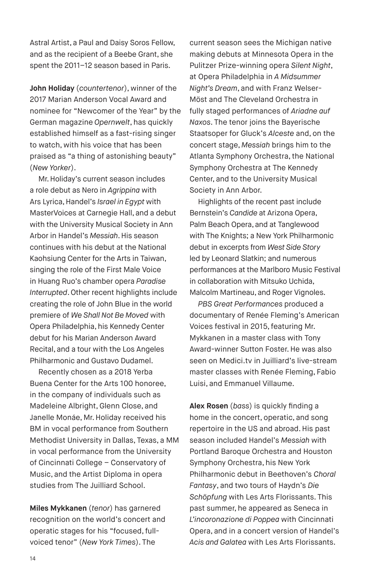Astral Artist, a Paul and Daisy Soros Fellow, and as the recipient of a Beebe Grant, she spent the 2011–12 season based in Paris.

**John Holiday** (*countertenor*), winner of the 2017 Marian Anderson Vocal Award and nominee for "Newcomer of the Year" by the German magazine *Opernwelt*, has quickly established himself as a fast-rising singer to watch, with his voice that has been praised as "a thing of astonishing beauty" (*New Yorker*).

Mr. Holiday's current season includes a role debut as Nero in *Agrippina* with Ars Lyrica, Handel's *Israel in Egypt* with MasterVoices at Carnegie Hall, and a debut with the University Musical Society in Ann Arbor in Handel's *Messiah*. His season continues with his debut at the National Kaohsiung Center for the Arts in Taiwan, singing the role of the First Male Voice in Huang Ruo's chamber opera *Paradise Interrupted*. Other recent highlights include creating the role of John Blue in the world premiere of *We Shall Not Be Moved* with Opera Philadelphia, his Kennedy Center debut for his Marian Anderson Award Recital, and a tour with the Los Angeles Philharmonic and Gustavo Dudamel.

Recently chosen as a 2018 Yerba Buena Center for the Arts 100 honoree, in the company of individuals such as Madeleine Albright, Glenn Close, and Janelle Monáe, Mr. Holiday received his BM in vocal performance from Southern Methodist University in Dallas, Texas, a MM in vocal performance from the University of Cincinnati College – Conservatory of Music, and the Artist Diploma in opera studies from The Juilliard School.

**Miles Mykkanen** (*tenor*) has garnered recognition on the world's concert and operatic stages for his "focused, fullvoiced tenor" (*New York Times*). The

current season sees the Michigan native making debuts at Minnesota Opera in the Pulitzer Prize-winning opera *Silent Night*, at Opera Philadelphia in *A Midsummer Night's Dream*, and with Franz Welser-Möst and The Cleveland Orchestra in fully staged performances of *Ariadne auf Naxos*. The tenor joins the Bayerische Staatsoper for Gluck's *Alceste* and, on the concert stage, *Messiah* brings him to the Atlanta Symphony Orchestra, the National Symphony Orchestra at The Kennedy Center, and to the University Musical Society in Ann Arbor.

Highlights of the recent past include Bernstein's *Candide* at Arizona Opera, Palm Beach Opera, and at Tanglewood with The Knights; a New York Philharmonic debut in excerpts from *West Side Story* led by Leonard Slatkin; and numerous performances at the Marlboro Music Festival in collaboration with Mitsuko Uchida, Malcolm Martineau, and Roger Vignoles.

*PBS Great Performances* produced a documentary of Renée Fleming's American Voices festival in 2015, featuring Mr. Mykkanen in a master class with Tony Award-winner Sutton Foster. He was also seen on Medici.tv in Juilliard's live-stream master classes with Renée Fleming, Fabio Luisi, and Emmanuel Villaume.

**Alex Rosen** (*bass*) is quickly finding a home in the concert, operatic, and song repertoire in the US and abroad. His past season included Handel's *Messiah* with Portland Baroque Orchestra and Houston Symphony Orchestra, his New York Philharmonic debut in Beethoven's *Choral Fantasy*, and two tours of Haydn's *Die Schöpfung* with Les Arts Florissants. This past summer, he appeared as Seneca in *L'incoronazione di Poppea* with Cincinnati Opera, and in a concert version of Handel's *Acis and Galatea* with Les Arts Florissants.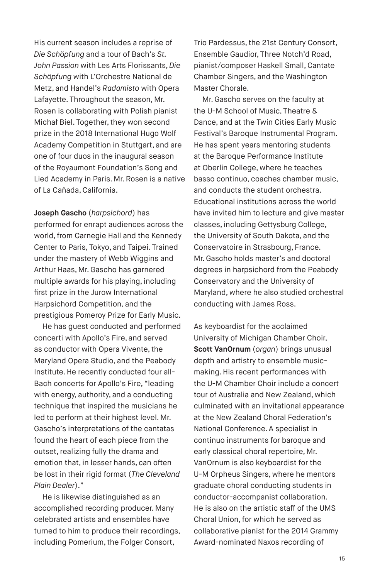His current season includes a reprise of *Die Schöpfung* and a tour of Bach's *St. John Passion* with Les Arts Florissants, *Die Schöpfung* with L'Orchestre National de Metz, and Handel's *Radamisto* with Opera Lafayette. Throughout the season, Mr. Rosen is collaborating with Polish pianist Michał Biel. Together, they won second prize in the 2018 International Hugo Wolf Academy Competition in Stuttgart, and are one of four duos in the inaugural season of the Royaumont Foundation's Song and Lied Academy in Paris. Mr. Rosen is a native of La Cañada, California.

**Joseph Gascho** (*harpsichord*) has performed for enrapt audiences across the world, from Carnegie Hall and the Kennedy Center to Paris, Tokyo, and Taipei. Trained under the mastery of Webb Wiggins and Arthur Haas, Mr. Gascho has garnered multiple awards for his playing, including first prize in the Jurow International Harpsichord Competition, and the prestigious Pomeroy Prize for Early Music.

He has guest conducted and performed concerti with Apollo's Fire, and served as conductor with Opera Vivente, the Maryland Opera Studio, and the Peabody Institute. He recently conducted four all-Bach concerts for Apollo's Fire, "leading with energy, authority, and a conducting technique that inspired the musicians he led to perform at their highest level. Mr. Gascho's interpretations of the cantatas found the heart of each piece from the outset, realizing fully the drama and emotion that, in lesser hands, can often be lost in their rigid format (*The Cleveland Plain Dealer*)."

He is likewise distinguished as an accomplished recording producer. Many celebrated artists and ensembles have turned to him to produce their recordings, including Pomerium, the Folger Consort,

Trio Pardessus, the 21st Century Consort, Ensemble Gaudior, Three Notch'd Road, pianist/composer Haskell Small, Cantate Chamber Singers, and the Washington Master Chorale.

Mr. Gascho serves on the faculty at the U-M School of Music, Theatre & Dance, and at the Twin Cities Early Music Festival's Baroque Instrumental Program. He has spent years mentoring students at the Baroque Performance Institute at Oberlin College, where he teaches basso continuo, coaches chamber music, and conducts the student orchestra. Educational institutions across the world have invited him to lecture and give master classes, including Gettysburg College, the University of South Dakota, and the Conservatoire in Strasbourg, France. Mr. Gascho holds master's and doctoral degrees in harpsichord from the Peabody Conservatory and the University of Maryland, where he also studied orchestral conducting with James Ross.

As keyboardist for the acclaimed University of Michigan Chamber Choir, **Scott VanOrnum** (*organ*) brings unusual depth and artistry to ensemble musicmaking. His recent performances with the U-M Chamber Choir include a concert tour of Australia and New Zealand, which culminated with an invitational appearance at the New Zealand Choral Federation's National Conference. A specialist in continuo instruments for baroque and early classical choral repertoire, Mr. VanOrnum is also keyboardist for the U-M Orpheus Singers, where he mentors graduate choral conducting students in conductor-accompanist collaboration. He is also on the artistic staff of the UMS Choral Union, for which he served as collaborative pianist for the 2014 Grammy Award-nominated Naxos recording of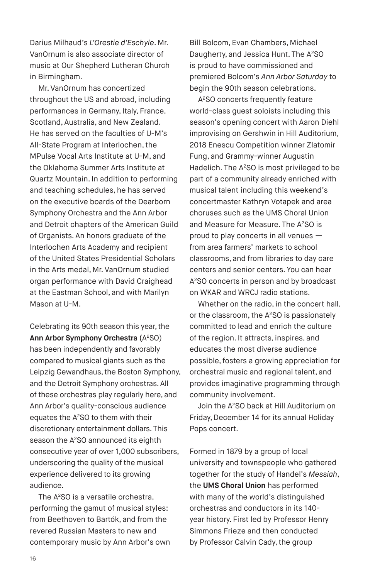Darius Milhaud's *L'Orestie d'Eschyle*. Mr. VanOrnum is also associate director of music at Our Shepherd Lutheran Church in Birmingham.

Mr. VanOrnum has concertized throughout the US and abroad, including performances in Germany, Italy, France, Scotland, Australia, and New Zealand. He has served on the faculties of U-M's All-State Program at Interlochen, the MPulse Vocal Arts Institute at U-M, and the Oklahoma Summer Arts Institute at Quartz Mountain. In addition to performing and teaching schedules, he has served on the executive boards of the Dearborn Symphony Orchestra and the Ann Arbor and Detroit chapters of the American Guild of Organists. An honors graduate of the Interlochen Arts Academy and recipient of the United States Presidential Scholars in the Arts medal, Mr. VanOrnum studied organ performance with David Craighead at the Eastman School, and with Marilyn Mason at U-M.

Celebrating its 90th season this year, the **Ann Arbor Symphony Orchestra (**A2 SO) has been independently and favorably compared to musical giants such as the Leipzig Gewandhaus, the Boston Symphony, and the Detroit Symphony orchestras. All of these orchestras play regularly here, and Ann Arbor's quality-conscious audience equates the A2 SO to them with their discretionary entertainment dollars. This season the A<sup>2</sup>SO announced its eighth consecutive year of over 1,000 subscribers, underscoring the quality of the musical experience delivered to its growing audience.

The A<sup>2</sup>SO is a versatile orchestra. performing the gamut of musical styles: from Beethoven to Bartók, and from the revered Russian Masters to new and contemporary music by Ann Arbor's own

Bill Bolcom, Evan Chambers, Michael Daugherty, and Jessica Hunt. The A<sup>2</sup>SO is proud to have commissioned and premiered Bolcom's *Ann Arbor Saturday* to begin the 90th season celebrations.

A2SO concerts frequently feature world-class guest soloists including this season's opening concert with Aaron Diehl improvising on Gershwin in Hill Auditorium, 2018 Enescu Competition winner Zlatomir Fung, and Grammy-winner Augustin Hadelich. The A<sup>2</sup>SO is most privileged to be part of a community already enriched with musical talent including this weekend's concertmaster Kathryn Votapek and area choruses such as the UMS Choral Union and Measure for Measure. The A<sup>2</sup>SO is proud to play concerts in all venues from area farmers' markets to school classrooms, and from libraries to day care centers and senior centers. You can hear A2SO concerts in person and by broadcast on WKAR and WRCJ radio stations.

Whether on the radio, in the concert hall, or the classroom, the A<sup>2</sup>SO is passionately committed to lead and enrich the culture of the region. It attracts, inspires, and educates the most diverse audience possible, fosters a growing appreciation for orchestral music and regional talent, and provides imaginative programming through community involvement.

Join the A<sup>2</sup>SO back at Hill Auditorium on Friday, December 14 for its annual Holiday Pops concert.

Formed in 1879 by a group of local university and townspeople who gathered together for the study of Handel's *Messiah*, the **UMS Choral Union** has performed with many of the world's distinguished orchestras and conductors in its 140 year history. First led by Professor Henry Simmons Frieze and then conducted by Professor Calvin Cady, the group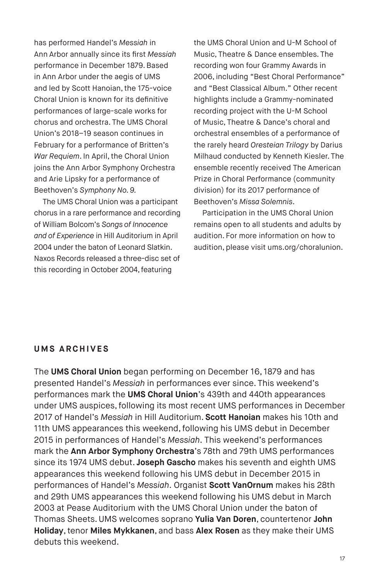has performed Handel's *Messiah* in Ann Arbor annually since its first *Messiah* performance in December 1879. Based in Ann Arbor under the aegis of UMS and led by Scott Hanoian, the 175-voice Choral Union is known for its definitive performances of large-scale works for chorus and orchestra. The UMS Choral Union's 2018–19 season continues in February for a performance of Britten's *War Requiem*. In April, the Choral Union joins the Ann Arbor Symphony Orchestra and Arie Lipsky for a performance of Beethoven's *Symphony No. 9.*

The UMS Choral Union was a participant chorus in a rare performance and recording of William Bolcom's *Songs of Innocence and of Experience* in Hill Auditorium in April 2004 under the baton of Leonard Slatkin. Naxos Records released a three-disc set of this recording in October 2004, featuring

the UMS Choral Union and U-M School of Music, Theatre & Dance ensembles. The recording won four Grammy Awards in 2006, including "Best Choral Performance" and "Best Classical Album." Other recent highlights include a Grammy-nominated recording project with the U-M School of Music, Theatre & Dance's choral and orchestral ensembles of a performance of the rarely heard *Oresteian Trilogy* by Darius Milhaud conducted by Kenneth Kiesler. The ensemble recently received The American Prize in Choral Performance (community division) for its 2017 performance of Beethoven's *Missa Solemnis*.

Participation in the UMS Choral Union remains open to all students and adults by audition. For more information on how to audition, please visit ums.org/choralunion.

## **UMS ARCHIVES**

The **UMS Choral Union** began performing on December 16, 1879 and has presented Handel's *Messiah* in performances ever since. This weekend's performances mark the **UMS Choral Union**'s 439th and 440th appearances under UMS auspices, following its most recent UMS performances in December 2017 of Handel's *Messiah* in Hill Auditorium. **Scott Hanoian** makes his 10th and 11th UMS appearances this weekend, following his UMS debut in December 2015 in performances of Handel's *Messiah*. This weekend's performances mark the **Ann Arbor Symphony Orchestra**'s 78th and 79th UMS performances since its 1974 UMS debut. **Joseph Gascho** makes his seventh and eighth UMS appearances this weekend following his UMS debut in December 2015 in performances of Handel's *Messiah*. Organist **Scott VanOrnum** makes his 28th and 29th UMS appearances this weekend following his UMS debut in March 2003 at Pease Auditorium with the UMS Choral Union under the baton of Thomas Sheets. UMS welcomes soprano **Yulia Van Doren**, countertenor **John Holiday**, tenor **Miles Mykkanen**, and bass **Alex Rosen** as they make their UMS debuts this weekend.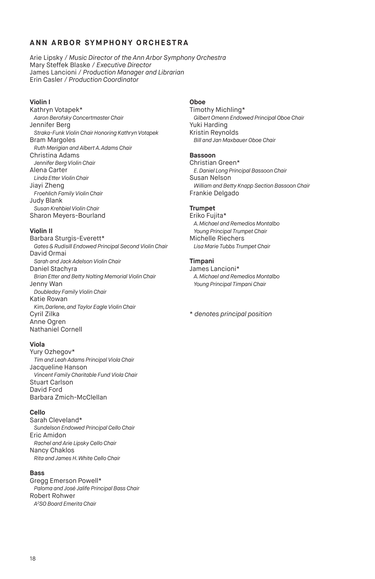#### **A N N A R B O R SY M P H O N Y O R C H E S T R A**

Arie Lipsky / *Music Director of the Ann Arbor Symphony Orchestra* Mary Steffek Blaske / *Executive Director* James Lancioni / *Production Manager and Librarian* Erin Casler / *Production Coordinator*

#### **Violin I**

Kathryn Votapek\* *Aaron Berofsky Concertmaster Chair* Jennifer Berg *Straka-Funk Violin Chair Honoring Kathryn Votapek* Bram Margoles *Ruth Merigian and Albert A. Adams Chair* Christina Adams *Jennifer Berg Violin Chair* Alena Carter *Linda Etter Violin Chair*  Jiayi Zheng *Froehlich Family Violin Chair* Judy Blank *Susan Krehbiel Violin Chair* Sharon Meyers-Bourland

#### **Violin II**

Barbara Sturgis-Everett\* *Gates & Rudisill Endowed Principal Second Violin Chair* David Ormai *Sarah and Jack Adelson Violin Chair* Daniel Stachyra *Brian Etter and Betty Nolting Memorial Violin Chair* Jenny Wan *Doubleday Family Violin Chair* Katie Rowan *Kim, Darlene, and Taylor Eagle Violin Chair* Cyril Zilka Anne Ogren Nathaniel Cornell

#### **Viola**

Yury Ozhegov\* *Tim and Leah Adams Principal Viola Chair* Jacqueline Hanson *Vincent Family Charitable Fund Viola Chair*  Stuart Carlson David Ford Barbara Zmich-McClellan

#### **Cello**

Sarah Cleveland\* *Sundelson Endowed Principal Cello Chair* Eric Amidon *Rachel and Arie Lipsky Cello Chair* Nancy Chaklos *Rita and James H. White Cello Chair*

#### **Bass**

Gregg Emerson Powell\* *Paloma and José Jalife Principal Bass Chair* Robert Rohwer *A2 SO Board Emerita Chair*

#### **Oboe**

Timothy Michling\* *Gilbert Omenn Endowed Principal Oboe Chair* Yuki Harding Kristin Reynolds *Bill and Jan Maxbauer Oboe Chair*

#### **Bassoon**

Christian Green\* *E. Daniel Long Principal Bassoon Chair* Susan Nelson *William and Betty Knapp Section Bassoon Chair* Frankie Delgado

#### **Trumpet**

Eriko Fujita\* *A. Michael and Remedios Montalbo Young Principal Trumpet Chair* Michelle Riechers *Lisa Marie Tubbs Trumpet Chair*

#### **Timpani**

James Lancioni\* *A. Michael and Remedios Montalbo Young Principal Timpani Chair*

\* *denotes principal position*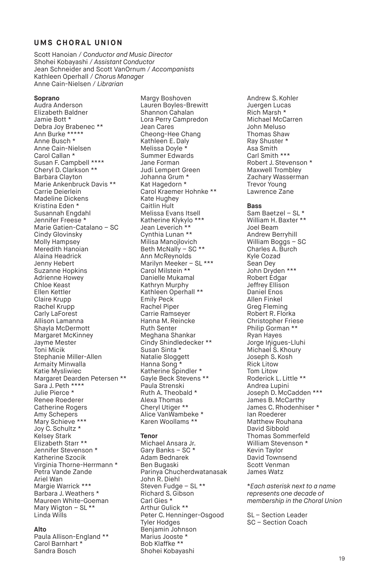# **UMS CHORAL UNION**

Scott Hanoian / *Conductor and Music Director* Shohei Kobayashi / *Assistant Conductor* Jean Schneider and Scott VanOrnum / *Accompanists* Kathleen Operhall / *Chorus Manager* Anne Cain-Nielsen / *Librarian*

#### **Soprano**

Audra Anderson Elizabeth Baldner Jamie Bott \* Debra Joy Brabenec \*\* Ann Burke \*\*\*\*\* Anne Busch \* Anne Cain-Nielsen Carol Callan \* Susan F. Campbell \*\*\*\* Cheryl D. Clarkson \*\* Barbara Clayton Marie Ankenbruck Davis \*\* Carrie Deierlein Madeline Dickens Kristina Eden \* Susannah Engdahl Jennifer Freese \* Marie Gatien-Catalano – SC Cindy Glovinsky Molly Hampsey Meredith Hanoian Alaina Headrick Jenny Hebert Suzanne Hopkins Adrienne Howey Chloe Keast Ellen Kettler Claire Krupp Rachel Krupp Carly LaForest Allison Lamanna Shayla McDermott Margaret McKinney Jayme Mester Toni Micik Stephanie Miller-Allen Armaity Minwalla Katie Mysliwiec Margaret Dearden Petersen \*\* Sara J. Peth \*\*\*\* Julie Pierce \* Renee Roederer Catherine Rogers Amy Schepers Mary Schieve<sup>\*\*\*</sup> Joy C. Schultz \* Kelsey Stark Elizabeth Starr \*\* Jennifer Stevenson \* Katherine Szocik Virginia Thorne-Herrmann \* Petra Vande Zande Ariel Wan Margie Warrick \*\*\* Barbara J. Weathers \* Maureen White-Goeman Mary Wigton - SL \*\* Linda Wills

#### **Alto**

Paula Allison-England \*\* Carol Barnhart \* Sandra Bosch

Margy Boshoven Lauren Boyles-Brewitt Shannon Cahalan Lora Perry Campredon Jean Cares Cheong-Hee Chang Kathleen E. Daly Melissa Doyle \* Summer Edwards Jane Forman Judi Lempert Green Johanna Grum \* Kat Hagedorn \* Carol Kraemer Hohnke \*\* Kate Hughey Caitlin Hult Melissa Evans Itsell Katherine Klykylo \*\*\* Jean Leverich \*\* Cynthia Lunan \*\* Milisa Manojlovich Beth McNally – SC \*\* Ann McReynolds Marilyn Meeker – SL \*\*\* Carol Milstein \*\* Danielle Mukamal Kathryn Murphy Kathleen Operhall \*\* Emily Peck Rachel Piper Carrie Ramseyer Hanna M. Reincke Ruth Senter Meghana Shankar Cindy Shindledecker \*\* Susan Sinta \* Natalie Sloggett Hanna Song<sup>\*</sup> Katherine Spindler \* Gayle Beck Stevens \*\* Paula Strenski Ruth A. Theobald \* Alexa Thomas Cheryl Utiger \*\* Alice VanWambeke \* Karen Woollams \*\*

#### **Tenor**

Michael Ansara Jr. Gary Banks – SC \* Adam Bednarek Ben Bugaski Parinya Chucherdwatanasak John R. Diehl Steven Fudge – SL \*\* Richard S. Gibson Carl Gies \* Arthur Gulick \*\* Peter C. Henninger-Osgood Tyler Hodges Benjamin Johnson Marius Jooste \* Bob Klaffke \*\* Shohei Kobayashi

Andrew S. Kohler Juergen Lucas Rich Marsh \* Michael McCarren John Meluso Thomas Shaw Ray Shuster \* Asa Smith Carl Smith \*\*\* Robert J. Stevenson \* Maxwell Trombley Zachary Wasserman Trevor Young Lawrence Zane

#### **Bass**

Sam Baetzel – SL \* William H. Baxter \*\* Joel Beam Andrew Berryhill William Boggs – SC Charles A. Burch Kyle Cozad Sean Dey John Dryden \*\*\* Robert Edgar Jeffrey Ellison Daniel Enos Allen Finkel Greg Fleming Robert R. Florka Christopher Friese Philip Gorman \*\* Ryan Hayes Jorge Iniques-Lluhi Michael S. Khoury Joseph S. Kosh Rick Litow Tom Litow Roderick L. Little \*\* Andrea Lupini Joseph D. McCadden \*\*\* James B. McCarthy James C. Rhodenhiser \* Ian Roederer Matthew Rouhana David Sibbold Thomas Sommerfeld William Stevenson \* Kevin Taylor David Townsend Scott Venman James Watz

\**Each asterisk next to a name represents one decade of membership in the Choral Union*

SL – Section Leader SC – Section Coach